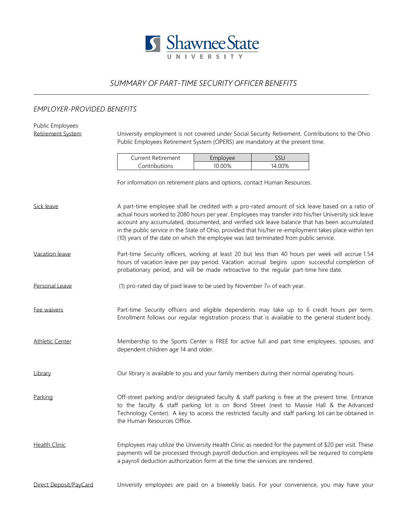

## *SUMMARY OF PART-TIME SECURITY OFFICER BENEFITS*

## *EMPLOYER-PROVIDED BENEFITS*

| Public Employees       |                                                                                                                                                                                                                                                                                                                                                                                                                                                                                                                |          |                                                                                                  |  |  |  |
|------------------------|----------------------------------------------------------------------------------------------------------------------------------------------------------------------------------------------------------------------------------------------------------------------------------------------------------------------------------------------------------------------------------------------------------------------------------------------------------------------------------------------------------------|----------|--------------------------------------------------------------------------------------------------|--|--|--|
| Retirement System      |                                                                                                                                                                                                                                                                                                                                                                                                                                                                                                                |          | University employment is not covered under Social Security Retirement. Contributions to the Ohio |  |  |  |
|                        | Public Employees Retirement System (OPERS) are mandatory at the present time.                                                                                                                                                                                                                                                                                                                                                                                                                                  |          |                                                                                                  |  |  |  |
|                        | <b>Current Retirement</b>                                                                                                                                                                                                                                                                                                                                                                                                                                                                                      | Employee | SSU                                                                                              |  |  |  |
|                        | Contributions                                                                                                                                                                                                                                                                                                                                                                                                                                                                                                  | 10.00%   | 14.00%                                                                                           |  |  |  |
|                        | For information on retirement plans and options, contact Human Resources.                                                                                                                                                                                                                                                                                                                                                                                                                                      |          |                                                                                                  |  |  |  |
| Sick leave             | A part-time employee shall be credited with a pro-rated amount of sick leave based on a ratio of<br>actual hours worked to 2080 hours per year. Employees may transfer into his/her University sick leave<br>account any accumulated, documented, and verified sick leave balance that has been accumulated<br>in the public service in the State of Ohio, provided that his/her re-employment takes place within ten<br>(10) years of the date on which the employee was last terminated from public service. |          |                                                                                                  |  |  |  |
| Vacation leave         | Part-time Security officers, working at least 20 but less than 40 hours per week will accrue 1.54<br>hours of vacation leave per pay period. Vacation accrual begins upon successful completion of<br>probationary period, and will be made retroactive to the regular part-time hire date.                                                                                                                                                                                                                    |          |                                                                                                  |  |  |  |
| Personal Leave         | (1) pro-rated day of paid leave to be used by November 7th of each year.                                                                                                                                                                                                                                                                                                                                                                                                                                       |          |                                                                                                  |  |  |  |
| Fee waivers            | Part-time Security officers and eligible dependents may take up to 6 credit hours per term.<br>Enrollment follows our regular registration process that is available to the general student body.                                                                                                                                                                                                                                                                                                              |          |                                                                                                  |  |  |  |
| <b>Athletic Center</b> | Membership to the Sports Center is FREE for active full and part time employees, spouses, and<br>dependent children age 14 and older.                                                                                                                                                                                                                                                                                                                                                                          |          |                                                                                                  |  |  |  |
| Library                | Our library is available to you and your family members during their normal operating hours.                                                                                                                                                                                                                                                                                                                                                                                                                   |          |                                                                                                  |  |  |  |
| Parking                | Off-street parking and/or designated faculty & staff parking is free at the present time. Entrance<br>to the faculty & staff parking lot is on Bond Street (next to Massie Hall & the Advanced<br>Technology Center). A key to access the restricted faculty and staff parking lot can be obtained in<br>the Human Resources Office.                                                                                                                                                                           |          |                                                                                                  |  |  |  |
| <b>Health Clinic</b>   | Employees may utilize the University Health Clinic as needed for the payment of \$20 per visit. These<br>payments will be processed through payroll deduction and employees will be required to complete<br>a payroll deduction authorization form at the time the services are rendered.                                                                                                                                                                                                                      |          |                                                                                                  |  |  |  |
| Direct Deposit/PayCard |                                                                                                                                                                                                                                                                                                                                                                                                                                                                                                                |          | University employees are paid on a biweekly basis. For your convenience, you may have your       |  |  |  |